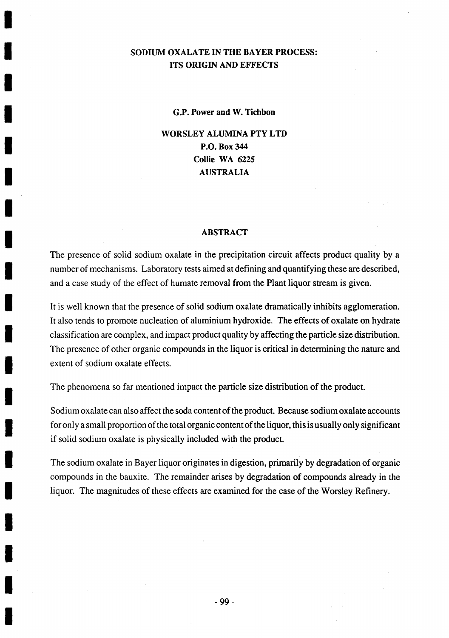# **SODIUM OXALATE IN THE BAYER PROCESS: ITS ORIGIN AND EFFECTS**

**G.P. Power and W. Tichbon**

**WORSLEY ALUMINA PTY LTD P.O. Box 344 Collie WA 6225 AUSTRALIA**

#### **ABSTRACT**

The presence of solid sodium oxalate in the precipitation circuit affects product quality **by** a number of mechanisms. Laboratory tests aimed at defining and quantifying these are described, and a case study of the effect of humate removal from the Plant liquor stream is given.

It is well known that the presence of solid sodium oxalate dramatically inhibits agglomeration. It also tends to promote nucleation of aluminium hydroxide. The effects of oxalate on hydrate classification are complex, and impact product quality **by** affecting the particle size distribution. The presence of other organic compounds in the liquor is critical in determining the nature and extent of sodium oxalate effects.

The phenomena so far mentioned impact the particle size distribution of the product.

Sodium oxalate can also affect the soda content of the product. Because sodium oxalate accounts for only a small proportion of the total organic content of the liquor, this is usually only significant if solid sodium oxalate is physically included with the product.

The sodium oxalate in Bayer liquor originates in digestion, primarily **by** degradation of organic compounds in the bauxite. The remainder arises **by** degradation of compounds already in the liquor. The magnitudes of these effects are examined for the case of the Worsley Refinery.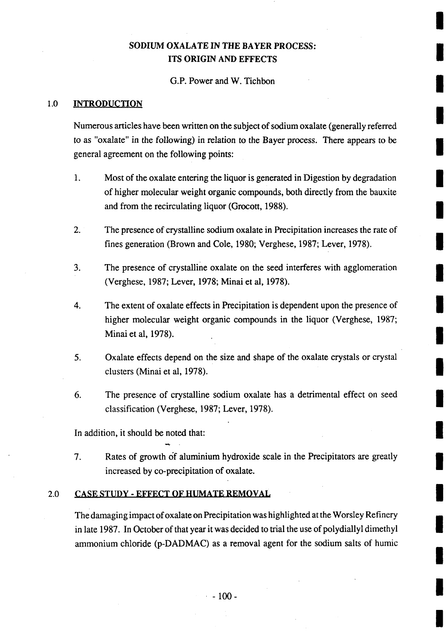# **SODIUM OXALATE IN** THE BAYER **PROCESS: ITS ORIGIN AND EFFECTS**

#### **G.P.** Power and W. Tichbon

#### **1.0 INTRODUCTION**

Numerous articles have been written on the subject of sodium oxalate (generally referred to as "oxalate" in the following) in relation to the Bayer process. There appears to be general agreement on the following points:

- 1 **.** Most of the oxalate entering the liquor is generated in Digestion **by** degradation of higher molecular weight organic compounds, both directly from the bauxite and from the recirculating liquor (Grocott, **1988).**
- 2. The presence of crystalline sodium oxalate in Precipitation increases the rate of fines generation (Brown and Cole, **1980;** Verghese, **1987;** Lever, **1978).**
- 3. The presence of crystalline oxalate on the seed interferes with agglomeration (Verghese, **1987;** Lever, **1978;** Minai et al, **1978).**
- 4. The extent of oxalate effects in Precipitation is dependent upon the presence **of3** higher molecular weight organic compounds in the liquor (Verghese, **1987;** Minai et al, 1978).
- **5.** Oxalate effects depend on the size and shape of the oxalate crystals or crystal clusters (Minai et al, 1978).
- **6.** The presence of crystalline sodium oxalate has a detrimental effect on seed classification (Verghese, **1987;** Lever, **1978).**

In addition, it should be noted that:

**7.** Rates of growth of aluminium hydroxide scale in the Precipitators are greatly increased **by** co-precipitation of oxalate.

#### 2.0 **CASE STUDY - EFFECT OF HUMATE REMOVAL**

The damaging impact of oxalate on Precipitation was highlighted at the Worsley Refinery in late **1987.** In October of that year it was decided to trial the use of polydiallyl dimethyl ammonium chloride **(p-DADMAC)** as a removal agent for the sodium salts of humic

**-100I**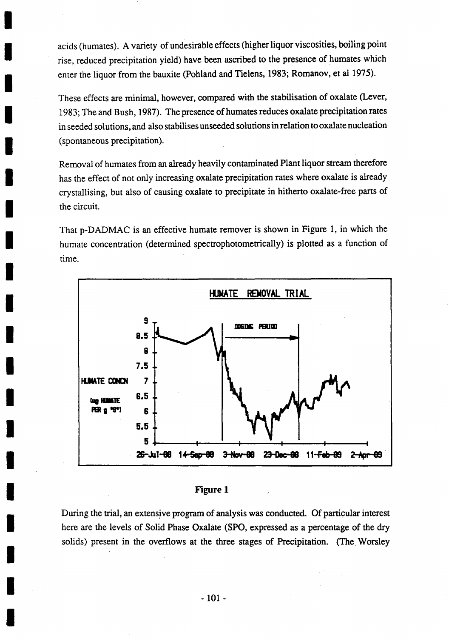acids (humates). **A** variety of undesirable effects (higher liquor viscosities, boiling point rise, reduced precipitation yield) have been ascribed to the presence of humates which enter the liquor from the bauxite (Pohiand and Tielens, **1983;** Romanov, et al **1975).**

These effects are minimal, however, compared with the stabilisation of oxalate (Lever, **1983;** The and Bush, **1987).** The presence of humates reduces oxalate precipitation rates in seeded solutions, and also stabiises unseeded solutions in relation to oxalate nucleation (spontaneous precipitation).

Removal of humates from an already heavily contaminated Plant liquor stream therefore has the effect of not only increasing oxalate precipitation rates where oxalate is already crystallising, but also of causing oxalate to precipitate in hitherto oxalate-free parts of the circuit.

That **p-DADMAC** is an effective humate remover is shown in Figure **1,** in which the humate concentration (determined spectrophotometrically) is plotted as a function of time.





During the trial, an extensive program of analysis was conducted. **Of** particular interest here are the levels of Solid Phase Oxalate **(SPO,** expressed as a percentage of the dry solids) present in the overflows at the three stages of Precipitation. (The Worsley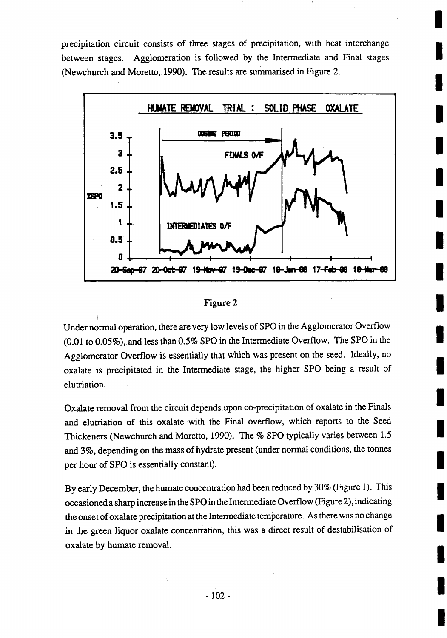precipitation circuit consists of three stages of precipitation, with heat interchange between stages. Agglomeration is followed **by** the Intermediate and Final stages (Newchurch and Moretto,. **1990).** The results are summarised in Figure 2.



#### Figure 2

Under normal operation, there are very low levels of **SPO** in the Agglomerator Overflow **(0.01** to *0.05%),* and less than **0.5% SPO** in the Intermediate Overflow. The **SPO** in the Agglomerator Overflow is essentially that which was present on the seed. Ideally, no oxalate is precipitated in the Intermediate stage, the higher **SPO** being a result of elutriation.

Oxalate removal from the circuit depends. upon co-precipitation of oxalate in the Finals and elutriation of this oxalate with the Final overflow, which reports to the Seed Thickeners (Newchurch and Moretto, **1990).** The **% SPO** typically varies between **1.5** and **3%,** depending on the mass of hydrate present (under normal conditions, the tonnes per hour of **SPO** is essentially constant).

**By** early December, the humate concentration had been reduced **by 30%** (Figure **1).** This occasioned a sharp increase in the **SPO** in the Intermediate Overflow (Figure 2), indicating the onset of oxalate precipitation at the Intermediate temperature. As there was no change in the green liquor oxalate concentration, this was a direct result of destabilisation of oxalate **by** humate removal.

**I**

**I**

**I**

**I**

**I**

**U**

**I**

**I**

**I**

**I**

**I**

**I**

**I**

**I**

**I**

**I**

**I**

**I**

**I**

**I**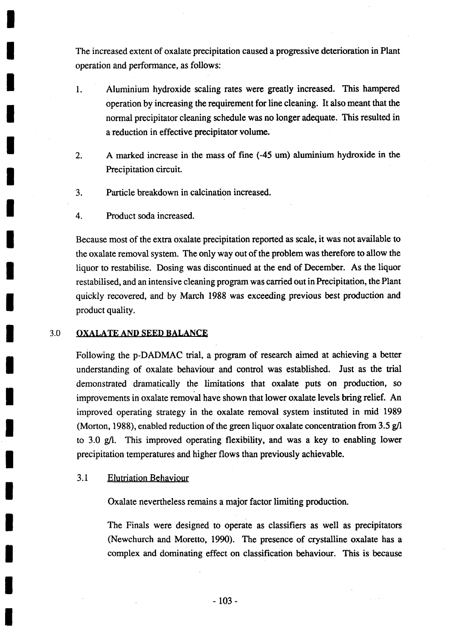The increased extent of oxalate precipitation caused a progressive deterioration in Plant operation and performance, as follows:

- **1.** Aluminium hydroxide scaling rates were greatly increased. This hampered operation **by** increasing the requirement for line cleaning. It also meant that the normal precipitator cleaning schedule was no longer adequate. This resulted in a reduction in effective precipitator volume.
- 2. **A** marked increase in the mass of fine (-45 um) aluminium. hydroxide in the Precipitation circuit.
- **3.** Particle breakdown in calcination increased.
- 4. Product soda increased.

Because most of the extra oxalate precipitation reported as scale, it was not available to the oxalate removal system. The only way out of the problem was therefore to allow the liquor to restabilise. Dosing was discontinued at the end of December. As the liquor restabilised, and an intensive cleaning program was carried out in Precipitation, the Plant quickly recovered, and **by** March **1988** was exceeding previous best production and product quality.

#### **3.0 OXALATE AND SEED BALANCE**

Following the **p-DADMAC** trial, a program of research aimed at achieving a better understanding of oxalate behaviour and control was established. Just as the trial demonstrated dramatically the limitations that oxalate puts on production, so improvements in oxalate removal have shown that lower oxalate levels bring relief. An improved operating strategy in the oxalate removal system instituted in mid\* **1989** (Morton, **1988),** enabled reduction of the green liquor oxalate concentration from **3.5 g/l** to **3.0 g/l.** This improved operating flexibility, and was a key to enabling lower precipitation temperatures and higher flows than previously achievable.

#### **3.1** Elutriation Behaviour

Oxalate nevertheless remains a major factor limiting production.

The Finals were designed to operate as classifiers as well as precipitators (Newchurch and Moretto, **1990).** The presence of crystalline oxalate has a complex and dominating effect on classification behaviour. This is because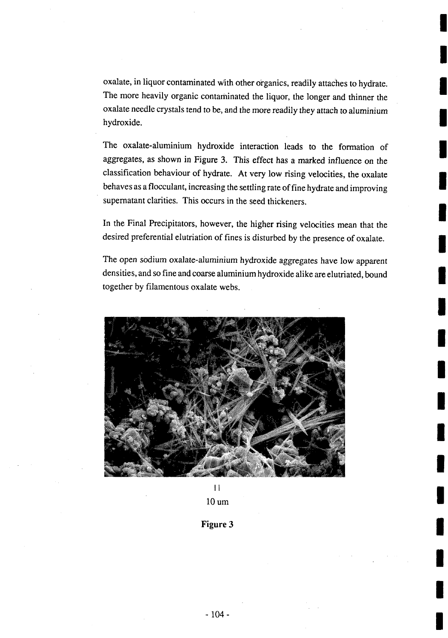oxalate, in liquor contaminated with other organics, readily attaches to hydrate. The more heavily organic contaminated the liquor, the longer and thinner the oxalate needle crystals tend to be, and the more readily they attach to aluminium hydroxide.

The oxalate-aluminium hydroxide interaction leads to the formation of aggregates, as shown in Figure **3.** This effect has a marked influence on the classification behaviour of hydrate. At very low rising velocities, the oxalate behaves as a flocculant, increasing the settling rate of fine hydrate and improving supernatant clarities. This occurs in the seed thickeners.

In the Final Precipitators, however, the higher rising velocities mean that the desired preferential elutriation of fines is disturbed **by** the presence of oxalate.

The open sodium oxalate-aluminium hydroxide aggregates have low apparent densities, and so fine and coarse aluminium hydroxide alike are elutriated, bound together **by** filamentous oxalate webs.



 $\vert \vert$ 

**10 um**

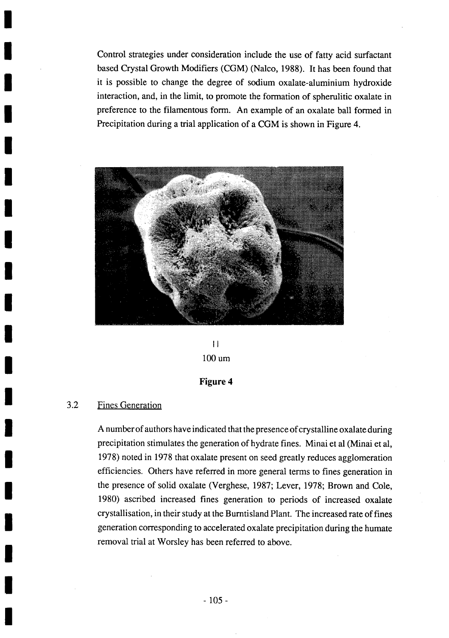Control strategies under consideration include the use of fatty acid surfactant based Crystal Growth Modifiers **(CGM)** (Nalco, **1988).** It has been found that it is possible to change the degree of sodium oxalate-aluminium hydroxide interaction, and, in the limit, to promote the formation of spherulitic oxalate in preference to the filamentous form. An example of an oxalate ball formed in Precipitation during a trial application of a **CGM** is shown in Figure 4.



 $\mathbf{1}$ **100 urn**

#### **Figure 4**

## **3.2** Fines Generation

**A** number of authors have indicated that the presence of crystalline oxalate during precipitation stimulates the generation of hydrate fines. Minai et al (Minai et al, **1978)** noted in **1978** that oxalate present on seed greatly reduces agglomeration efficiencies. Others have referred in more general terms to fines generation in the presence of solid oxalate (Verghese, **1987;** Lever, **1978;** Brown and Cole, **1980)** ascribed increased fines generation to periods of increased oxalate crystallisation, in their study at the Bumtisland Plant. The increased rate of fines generation corresponding to accelerated oxalate precipitation during the humate removal trial at Worsley has been referred to above.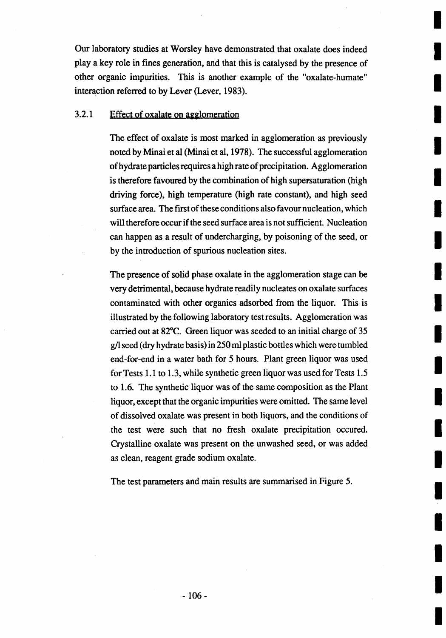Our laboratory studies at Worsley have demonstrated that oxalate does indeed play a key role in fines generation, and that this is catalysed **by** the presence of other organic impurities. This is another example of the "oxalate-humate" interaction referred to **by** Lever (Lever, **1983).**

## **3.2.1** Effect of oxalate on agglomeration

The effect of oxalate is most marked in agglomeration as previously noted by Minai et al (Minai et al, 1978). The successful agglomeration of hydrate particles requires a high rate of precipitation. Agglomeration is therefore favoured **by** the combination of high supersaturation (high driving force), high temperature (high rate constant), and high seed surface area. The first of these conditions also favour nucleation, which will therefore occur if the seed surface area is not sufficient. Nucleation can happen as a result of undercharging, **by** poisoning of the seed, or **by** the introduction of spurious nucleation sites.

The presence of solid phase oxalate in the agglomeration stage can be very detrimental, because hydrate readily nucleates on oxalate surfaces contaminated with other organics adsorbed from the liquor. This is illustrated **by** the following laboratory test results. Agglomeration was carried **out at 82\*C.** Green liquor was seeded to an initial charge of **35 g/l** seed (dry hydrate basis) in *250* ml plastic bottles which were tumbled end-for-end in a water bath for *5* hours. Plant green liquor was used for Tests **1. 1** to **1.3,** while synthetic green liquor was used for Tests *1.5* to **1.6.** The synthetic liquor was of the same composition as the Plant liquor, except that the organic impurities were omitted. The same level of dissolved oxalate was present in both liquors, and the conditions of the test were such that no fresh oxalate precipitation occured. Crystalline oxalate was present on the unwashed seed, or was added as clean, reagent grade sodium oxalate.

The test parameters and main results are summarised in Figure *5.*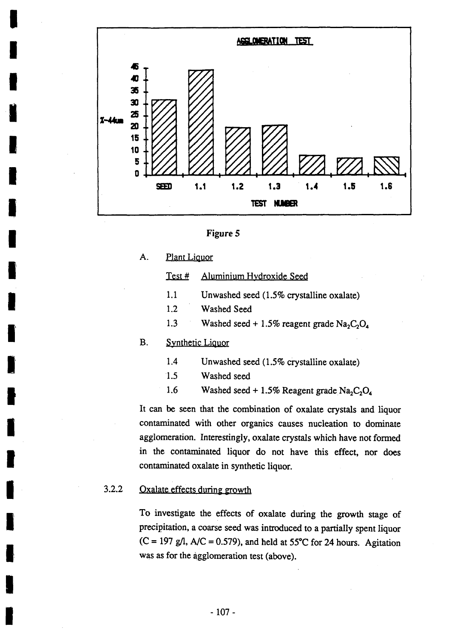



A. **Plant Liquor** 

## Test # Aluminium Hydroxide Seed

- **1.1** Unwashed seed **(1.5%** crystalline oxalate)
- 1.2 Washed Seed
- 1.3 Washed seed  $+ 1.5\%$  reagent grade  $Na<sub>2</sub>C<sub>2</sub>O<sub>4</sub>$

#### B. Synthetic Liquor

- 1.4 Unwashed seed **(1.5%** crystalline oxalate)
- **1.5** Washed seed
- 1.6 Washed seed  $+ 1.5\%$  Reagent grade Na<sub>2</sub>C<sub>2</sub>O<sub>4</sub>

It can be seen that the combination of oxalate crystals and liquor contaminated with other organics causes nucleation to dominate agglomeration. Interestingly, oxalate crystals which have not formed in the contaminated liquor do not have this effect, nor does contaminated oxalate in synthetic liquor.

## **3.2.2** -Oxalate effects during growth

To investigate the effects of oxalate during the growth stage of precipitation, a coarse seed was introduced to a partially spent liquor **(C = 197 g/l, A/C = 0.579),** and held at **55'C** for 24 hours. Agitation was as for the agglomeration test (above).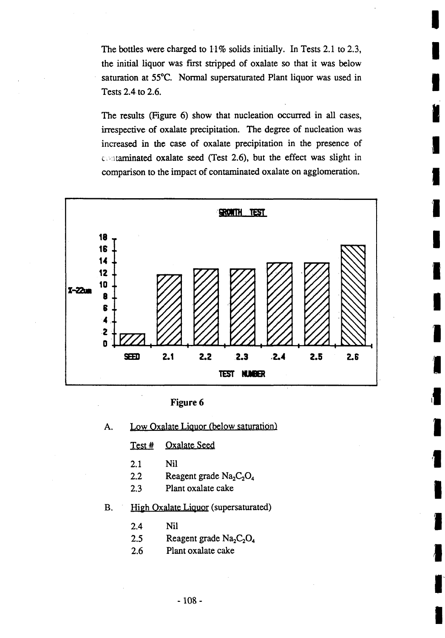The bottles were charged to **11 %** solids initially. In Tests 2. **1** to **2.3,** the initial liquor was first stripped of oxalate so that it was below saturation at 55°C. Normal supersaturated Plant liquor was used in Tests 2.4to **2.6.**

The results (Figure **6)** show that nucleation occurred in all cases, **N** irrespective of oxalate precipitation. The degree of nucleation was increased in the case of oxalate precipitation in the presence of c. taminated oxalate seed (Test **2.6),** but the effect was slight in comparison to the impact of contaminated oxalate on agglomeration.



A. Low Oxalate Liquor (below saturation)

Test # Oxalate Seed

- 2.1 Nil
- 2.2 Reagent grade  $Na<sub>2</sub>C<sub>2</sub>O<sub>4</sub>$
- 2.3 Plant oxalate cake

#### B. High Oxalate Liquor (supersaturated)

- $2.4$  Nil
- 2.5 **Reagent grade**  $Na<sub>2</sub>C<sub>2</sub>O<sub>4</sub>$
- 2.6 Plant oxalate cake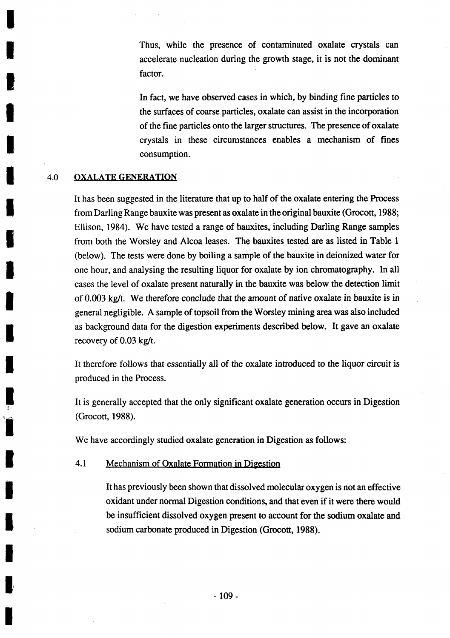Thus, while the presence of contaminated oxalate crystals can accelerate nucleation during the growth stage, it is not the dominant factor.

In *fact,* we have observed. cases in which, **by** binding fine particles to the surfaces of coarse particles, oxalate can assist in the incorporation of the fine particles onto the larger structures. The presence of oxalate crystals in these circumstances enables a mechanism of fines consumption.

#### 4.0 **OXALATE GENERATION**

It has been suggested in the literature that up to half of the oxalate entering the Process from Darling Range bauxite was present as oxalate in the original bauxite (Grocott, **1988;** Ellison, 1984). We have tested a range of bauxites, including Darling Range samples from both the Worsley and Alcoa leases. The bauxites tested are as listed in Table **1** (below). The tests were done **by** boiling a sample of the bauxite in deionized water for one hour, and analysing the resulting liquor for oxalate **by** ion chromatography. In all cases the level of oxalate present naturally in the bauxite was below the detection limit of **0.003** kg/t. We therefore conclude that the amount of native oxalate in bauxite is in general negligible. **A** sample of topsoil from the Worsley mining area was also included as background data for the digestion experiments described below. It gave an oxalate recovery of **0.03** kg/t.

It therefore follows that essentially all of the oxalate introduced to the liquor circuit is produced in the Process.

It is generally accepted that the only significant oxalate generation occurs in Digestion (Grocott, **1988).**

We have accordingly studied oxalate generation in Digestion as follows:

#### 4.1 Mechanism of Oxalate Formation in Digestion

It has previously been shown that dissolved molecular oxygen is not an effective oxidant under normal Digestion conditions, and that even if it were there would be insufficient dissolved oxygen present to account for the sodium oxalate and sodium carbonate produced in Digestion (Grocott, **1988).**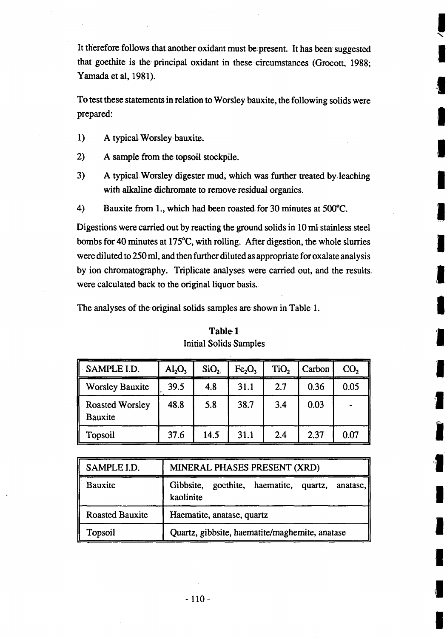It therefore follows that another oxidant must be present. It has been suggested that goethite is the' principal oxidant in these circumstances (Grocott, **1988;** Yamada et al, 1981).

To test these statements in relation to Worsley bauxite, the following solids were prepared:

**I** 

I

I

**I**

**I** 

**I** 

I

£

**I**

**I**

**U**

I

**I**

**I**

**I**

I

**I**

- 1) A typical Worsley bauxite.
- 2) A sample from the topsoil stockpile.
- **3)** A typical Worsley digester mud, which was further treated by, leaching with alkaline dichromate to remove residual organics.
- 4) Bauxite from **1.,** which had been roasted for **30** minutes at *500'C.*

Digestions were carried out **by** reacting the ground solids in **10** ml, stainless. steel bombs for 40 minutes at **175'C,** with rolling. After digestion, the whole slurries werediluted to *250* ml, and then further diluted as appropriate for oxalate analysis **by** ion chromatography. Triplicate analyses were carried out, and the results, were calculated back to the original liquor basis.

The analyses of the original solids samples are shown in Table 1.

| SAMPLE I.D.                       | $\text{Al}_2\text{O}_3$ | SiO <sub>2</sub> | Fe <sub>2</sub> O <sub>3</sub> | TiO <sub>2</sub> | Carbon | CO <sub>2</sub> |
|-----------------------------------|-------------------------|------------------|--------------------------------|------------------|--------|-----------------|
| <b>Worsley Bauxite</b>            | 39.5                    | 4.8              | 31.1                           | 2.7              | 0.36   | 0.05            |
| <b>Roasted Worsley</b><br>Bauxite | 48.8                    | 5.8              | $38.7^{\circ}$                 | 3.4              | 0.03   |                 |
| Topsoil                           | 37.6                    | 14.5             | 31.1                           | 2.4              | 2.37   | 0.07            |

# Table, **1** Initial Solids Samples

| SAMPLE I.D.            | MINERAL PHASES PRESENT (XRD)                                       |  |  |  |  |  |
|------------------------|--------------------------------------------------------------------|--|--|--|--|--|
| Bauxite                | Gibbsite, goethite, haematite, quartz,<br>anatase,   <br>kaolinite |  |  |  |  |  |
| <b>Roasted Bauxite</b> | Haematite, anatase, quartz                                         |  |  |  |  |  |
| Topsoil                | Quartz, gibbsite, haematite/maghemite, anatase                     |  |  |  |  |  |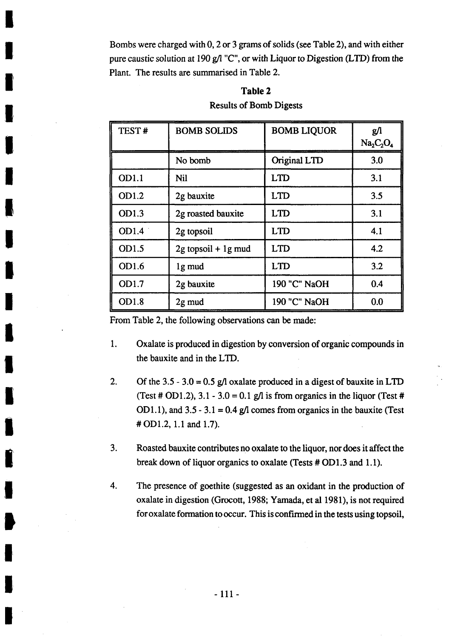Bombs were charged with **0,** 2 or **3** grams of solids (see Table 2), and with either pure caustic solution at **190 g/l "C",** or with Liquor to Digestion (LTD) from the Plant. The results are summarised in Table 2.

## Table 2

| <b>Results of Bomb Digests</b> |  |  |  |  |
|--------------------------------|--|--|--|--|
|--------------------------------|--|--|--|--|

| TEST# | <b>BOMB SOLIDS</b>    | <b>BOMB LIQUOR</b> | $g$ /<br>$Na_2C_2O_4$ |
|-------|-----------------------|--------------------|-----------------------|
|       | No bomb               | Original LTD       | 3.0                   |
| OD1.1 | <b>Nil</b>            | <b>LTD</b>         | 3.1                   |
| OD1.2 | 2g bauxite            | <b>LTD</b>         | 3.5                   |
| OD1.3 | 2g roasted bauxite    | <b>LTD</b>         | 3.1                   |
| OD1.4 | 2g topsoil            | <b>LTD</b>         | 4.1                   |
| OD1.5 | $2g$ topsoil + 1g mud | <b>LTD</b>         | 4.2                   |
| OD1.6 | 1g mud                | <b>LTD</b>         | 3.2                   |
| OD1.7 | 2g bauxite            | 190 "C" NaOH       | 0.4                   |
| OD1.8 | 2g mud                | 190 "C" NaOH       | 0.0                   |

From Table 2, the following observations can be made:

- **1.** Oxalate is produced in digestion **by** conversion of organic compounds in the bauxite and in the LTD.
- 2. **Of** the *3.5* **- 3.0 = 0.5 g/l** oxalate produced in a digest of bauxite in LTD (Test # OD1.2),  $3.1 - 3.0 = 0.1$  g/l is from organics in the liquor (Test # OD1.1), and  $3.5 - 3.1 = 0.4$  g/l comes from organics in the bauxite (Test **# OD1.2, 1.1** and **1.7).**
- **3.** Roasted bauxite contributes no oxalate to the liquor, nor does it affect the break down of liquor organics to oxalate (Tests **# OD 1. 3** and **1. 1).**
- 4. The presence of goethite (suggested as an oxidant in the production of oxalate in digestion (Grocott, **1988;** Yamada, et al **1981),** is not required for oxalate formation to occur. This is confrmed in the tests using topsoil,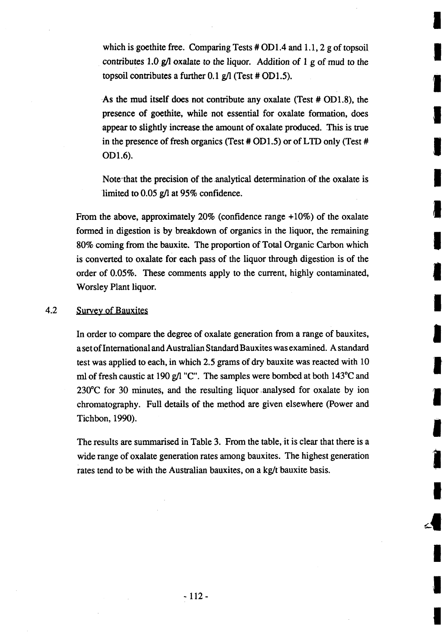which is goethite free. Comparing Tests # OD1.4 and 1.1, 2 g of topsoil contributes **1.0 g/'l** oxalate to the liquor. Addition *of* 1 *.g* of mud to the topsoil contributes a further  $0.1$  g/l (Test  $\#$  OD1.5).

As the mud itself does not contribute any oxalate (Test # OD1.8), the presence of goethite, while not essential for oxalate formation, does appear to slightly increase, the amount of oxalate produced. This is true in the presence of fresh organics (Test **#** *OD1.5)* or of LTD only (Test **# OD1.6).**

Note-that the precision of the analytical determination of the oxalate is limited to **0.05 g/l** at **95%** confidence.

From the above, approximately  $20\%$  (confidence range  $+10\%$ ) of the oxalate formed in digestion is **by** breakdown of organics in the liquor, the remaining **80%** coming from the bauxite. The proportion of Total Organic Carbon whichI is converted to oxalate for each pass of the liquor through digestion is of the order of **0.05%.** These comments apply to the current, **highly** contaminated, Worsley Plant liquor.

## 4.2 Survey of Bauxites

In order to compare the degree of oxalate generation from a range of bauxites, a set of International and Australian Standard Bauxites was examined. **A** standard test was applied to each, in which **2.5** grams of dry bauxite was reacted with **103** ml of fresh caustic at 190 g/l "C". The samples were bombed at both 143<sup>o</sup>C and **2300C** for **30** minutes, and the resulting liquor analysed for oxalate **by** ion chromatography. Full details of the method are given elsewhere (Power and Tichbon, **1990).**

The results are sumnmarised in Table **3.** From the table, it is clear that there is a wide range of oxalate generation rates among bauxites. The highest generation rates tend to be with the Australian bauxites, on a kg/t bauxite basis.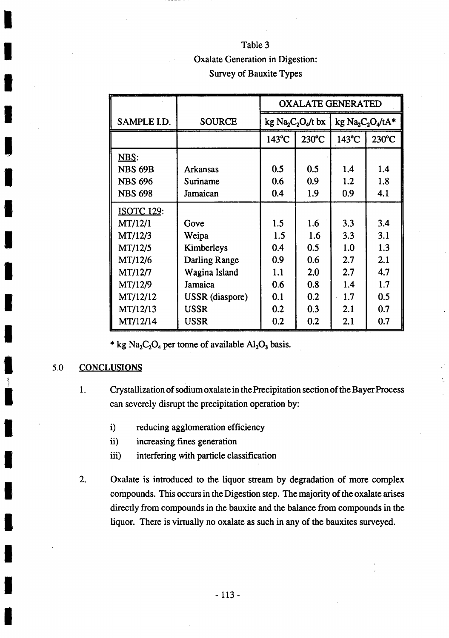# Table **3** Oxalate Generation in Digestion: Survey of Bauxite Types

|                   |                 | <b>OXALATE GENERATED</b> |       |                  |                 |
|-------------------|-----------------|--------------------------|-------|------------------|-----------------|
| SAMPLE I.D.       | <b>SOURCE</b>   | kg $Na2C2O4/t$ bx        |       | kg $Na2C2O4/tA*$ |                 |
|                   |                 | 143°C                    | 230°C | 143°C            | $230^{\circ}$ C |
| <u>NBS:</u>       |                 |                          |       |                  |                 |
| <b>NBS 69B</b>    | <b>Arkansas</b> | 0.5                      | 0.5   | 1.4              | 1.4             |
| <b>NBS 696</b>    | Suriname        | 0.6                      | 0.9   | 1.2              | 1.8             |
| <b>NBS 698</b>    | Jamaican        | 0.4                      | 1.9   | 0.9              | 4.1             |
| <b>ISOTC 129:</b> |                 |                          |       |                  |                 |
| MT/12/1           | Gove            | 1.5                      | 1.6   | 3.3              | 3.4             |
| MT/12/3           | Weipa           | 1.5                      | 1.6   | 3.3              | 3.1             |
| MT/12/5           | Kimberleys      | 0.4                      | 0.5   | 1.0              | 1.3             |
| MT/12/6           | Darling Range   | 0.9                      | 0.6   | 2.7              | 2.1             |
| MT/12/7           | Wagina Island   | 1.1                      | 2.0   | 2.7              | 4.7             |
| MT/12/9           | Jamaica         | 0.6                      | 0.8   | 1.4              | 1.7             |
| MT/12/12          | USSR (diaspore) | 0.1                      | 0.2   | 1.7              | 0.5             |
| MT/12/13          | <b>USSR</b>     | 0.2                      | 0.3   | 2.1              | 0.7             |
| MT/12/14          | <b>USSR</b>     | 0.2                      | 0.2   | 2.1              | 0.7             |

\* kg  $Na_2C_2O_4$  per tonne of available  $Al_2O_3$  basis.

#### *5.0* **CONCLUSIONS**

- **1.** Crystallization of sodium oxalate in the Precipitation section of the Bayer Process 1. can severely disrupt the precipitation operation **by:**
	- i) reducing agglomeration efficiency
	- ii) increasing fines generation
	- iii) interfering with particle classification
- 2. Oxalate is introduced to the liquor stream **by** degradation of more complex compounds. This occurs in the Digestion step. The majority of the oxalate arises directly from compounds in the bauxite and the balance from compounds in the liquor. There is virtually no oxalate as such in any of the bauxites surveyed.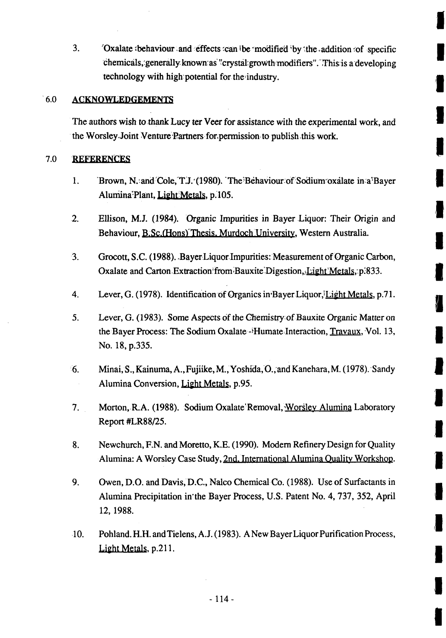**3. Cxalate behaviour and effects can be modified by the addition of specific** chemicals, generally known as "crystal growth modifiers". This is a developing technology with high potential for the industry.

## **6.0 ACNOLEDGEMENTS**

The authors wish to thank Lucy ter Veer for assistance with the experimental work, and the Worsley. Joint Venture Partners for.permission-to publish this work.

## 7.0 **REFERENCES**

- 1. **Brown, N. and Cole, T.J. (1980). The Behaviour of Sodium oxalate in a Bayer** Alumina<sup>P</sup>lant, Light Metals, p.105.
- 2. Ellison, **M.J.** (1984). 'Organic Impurities in Bayer Liquor: Their Origin and Behaviour, B.Sc.(Hons) Thesis. Murdoch University, Western Australia.
- **3.** Grocott, **S.C. (1988).** .BayerLiquorImpurities: Measurement of Organic Carbon, Oxalate and Carton Extraction from Bauxite Digestion, Light Metals, p.833.
- 4. Lever, G. (1978). Identification of Organics in Bayer Liquor,<sup>1</sup>Light Metals, p.71.

V

- *5.* Lever, **G. (1983).** Some Aspects (if the Chemistry. of Bauxite Organic Matter on the Bayer Process: The Sodium Oxalate -iHumate Interaction, Travaux, Vol. 13, No. **18, p.335.**
- **6.** Minai, **S.,** Kainuma, A.,Fujiike, M., Yoshida,'O.,'and Kanehara,M. (1978).-Sandy1 Alumina Conversion, Light Metals, p.95.
- **7.** Morton,-R.A. **(1988).** Sodium Oxalate Removal, Worsley Alumina Laboratory Report #LR88/25.
- **8.** Newchurch, **F.N.** and Moretto, K.E. **(1990).** Modern Refinery Design for Quality Alumina: **A** Worsley Case Study, 2nd. International Alumina Quality Workshop.I
- **9.** Owen, **D.O.** and Davis,-D.C., Nalco Chemnical-Co. **(1988).** Use of Surfactants in Alumina Precipitation in'the Bayer Process, **U.S.** Patent No. 4, **737, 352,** AprilI **12, 1988.**
- **10.** Pohiand. H.H. and Tielens, **A.J. (1983). A** New Bayer Liquor Purification Process, Light Metals, p.211.